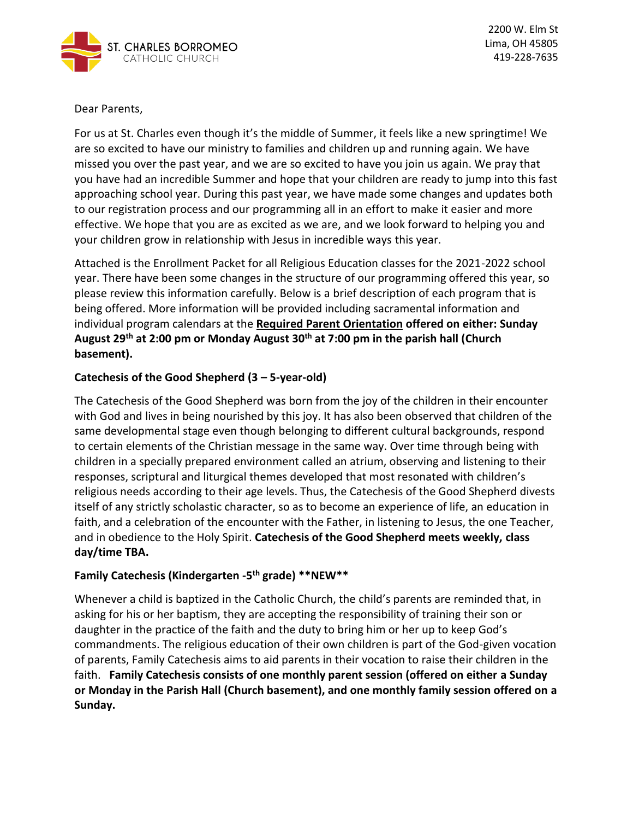

Dear Parents,

For us at St. Charles even though it's the middle of Summer, it feels like a new springtime! We are so excited to have our ministry to families and children up and running again. We have missed you over the past year, and we are so excited to have you join us again. We pray that you have had an incredible Summer and hope that your children are ready to jump into this fast approaching school year. During this past year, we have made some changes and updates both to our registration process and our programming all in an effort to make it easier and more effective. We hope that you are as excited as we are, and we look forward to helping you and your children grow in relationship with Jesus in incredible ways this year.

Attached is the Enrollment Packet for all Religious Education classes for the 2021-2022 school year. There have been some changes in the structure of our programming offered this year, so please review this information carefully. Below is a brief description of each program that is being offered. More information will be provided including sacramental information and individual program calendars at the **Required Parent Orientation offered on either: Sunday August 29th at 2:00 pm or Monday August 30th at 7:00 pm in the parish hall (Church basement).** 

# **Catechesis of the Good Shepherd (3 – 5-year-old)**

The Catechesis of the Good Shepherd was born from the joy of the children in their encounter with God and lives in being nourished by this joy. It has also been observed that children of the same developmental stage even though belonging to different cultural backgrounds, respond to certain elements of the Christian message in the same way. Over time through being with children in a specially prepared environment called an atrium, observing and listening to their responses, scriptural and liturgical themes developed that most resonated with children's religious needs according to their age levels. Thus, the Catechesis of the Good Shepherd divests itself of any strictly scholastic character, so as to become an experience of life, an education in faith, and a celebration of the encounter with the Father, in listening to Jesus, the one Teacher, and in obedience to the Holy Spirit. **Catechesis of the Good Shepherd meets weekly, class day/time TBA.** 

# **Family Catechesis (Kindergarten -5 th grade) \*\*NEW\*\***

Whenever a child is baptized in the Catholic Church, the child's parents are reminded that, in asking for his or her baptism, they are accepting the responsibility of training their son or daughter in the practice of the faith and the duty to bring him or her up to keep God's commandments. The religious education of their own children is part of the God-given vocation of parents, Family Catechesis aims to aid parents in their vocation to raise their children in the faith. **Family Catechesis consists of one monthly parent session (offered on either a Sunday or Monday in the Parish Hall (Church basement), and one monthly family session offered on a Sunday.**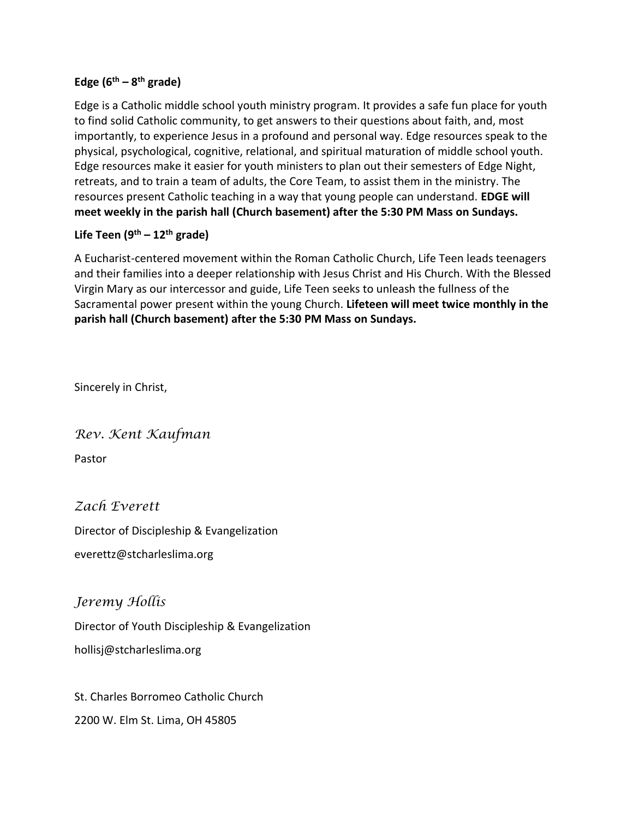# **Edge (6th – 8 th grade)**

Edge is a Catholic middle school youth ministry program. It provides a safe fun place for youth to find solid Catholic community, to get answers to their questions about faith, and, most importantly, to experience Jesus in a profound and personal way. Edge resources speak to the physical, psychological, cognitive, relational, and spiritual maturation of middle school youth. Edge resources make it easier for youth ministers to plan out their semesters of Edge Night, retreats, and to train a team of adults, the Core Team, to assist them in the ministry. The resources present Catholic teaching in a way that young people can understand. **EDGE will meet weekly in the parish hall (Church basement) after the 5:30 PM Mass on Sundays.** 

# **Life Teen (9th – 12th grade)**

A Eucharist-centered movement within the Roman Catholic Church, Life Teen leads teenagers and their families into a deeper relationship with Jesus Christ and His Church. With the Blessed Virgin Mary as our intercessor and guide, Life Teen seeks to unleash the fullness of the Sacramental power present within the young Church. **Lifeteen will meet twice monthly in the parish hall (Church basement) after the 5:30 PM Mass on Sundays.**

Sincerely in Christ,

*Rev. Kent Kaufman*

Pastor

# *Zach Everett*

Director of Discipleship & Evangelization

everettz@stcharleslima.org

# *Jeremy Hollis*

Director of Youth Discipleship & Evangelization [hollisj@stcharleslima.org](mailto:hollisj@stcharleslima.org)

St. Charles Borromeo Catholic Church 2200 W. Elm St. Lima, OH 45805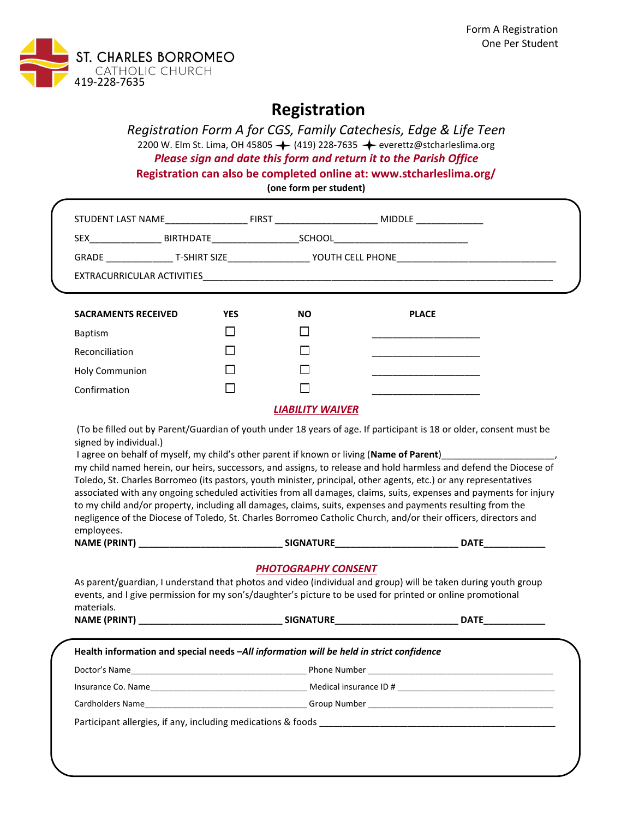

# **Registration**

*Registration Form A for CGS, Family Catechesis, Edge & Life Teen* 2200 W. Elm St. Lima, OH 45805  $\leftarrow$  (419) 228-7635  $\leftarrow$  [everettz@stcharleslima.o](mailto:everettz@stcharleslima.)rg *Please sign and date this form and return it to the Parish Office* **Registration can also be completed online at: www.stcharleslima.org/ (one form per student)**

STUDENT LAST NAME\_\_\_\_\_\_\_\_\_\_\_\_\_\_\_\_ FIRST \_\_\_\_\_\_\_\_\_\_\_\_\_\_\_\_\_\_\_\_ MIDDLE \_\_\_\_\_\_\_\_\_\_\_\_\_ SEX\_\_\_\_\_\_\_\_\_\_\_\_\_\_ BIRTHDATE\_\_\_\_\_\_\_\_\_\_\_\_\_\_\_\_\_SCHOOL\_\_\_\_\_\_\_\_\_\_\_\_\_\_\_\_\_\_\_\_\_\_\_\_\_\_ GRADE \_\_\_\_\_\_\_\_\_\_\_\_\_ T-SHIRT SIZE\_\_\_\_\_\_\_\_\_\_\_\_\_\_\_\_ YOUTH CELL PHONE\_\_\_\_\_\_\_\_\_\_\_\_\_\_\_\_\_\_\_\_\_\_\_\_\_\_\_\_\_\_\_ EXTRACURRICULAR ACTIVITIES **SACRAMENTS RECEIVED YES NO PLACE**

|                       | .            | <br>. |
|-----------------------|--------------|-------|
| Baptism               |              |       |
| Reconciliation        | $\mathsf{I}$ |       |
| <b>Holy Communion</b> | $\mathsf{I}$ |       |
| Confirmation          | L            |       |
|                       |              |       |

#### *LIABILITY WAIVER*

(To be filled out by Parent/Guardian of youth under 18 years of age. If participant is 18 or older, consent must be signed by individual.)

I agree on behalf of myself, my child's other parent if known or living (Name of Parent)\_ my child named herein, our heirs, successors, and assigns, to release and hold harmless and defend the Diocese of Toledo, St. Charles Borromeo (its pastors, youth minister, principal, other agents, etc.) or any representatives associated with any ongoing scheduled activities from all damages, claims, suits, expenses and payments for injury to my child and/or property, including all damages, claims, suits, expenses and payments resulting from the negligence of the Diocese of Toledo, St. Charles Borromeo Catholic Church, and/or their officers, directors and employees.

| <b>NAME (PRINT)</b> |  |
|---------------------|--|
|                     |  |
|                     |  |

| NAME (PRINT) | <b>SIGNATURE</b> | <b>DATF</b> |
|--------------|------------------|-------------|

# *PHOTOGRAPHY CONSENT*

| materials.                                                                              | As parent/guardian, I understand that photos and video (individual and group) will be taken during youth group<br>events, and I give permission for my son's/daughter's picture to be used for printed or online promotional |                         |  |  |  |
|-----------------------------------------------------------------------------------------|------------------------------------------------------------------------------------------------------------------------------------------------------------------------------------------------------------------------------|-------------------------|--|--|--|
|                                                                                         |                                                                                                                                                                                                                              | <b>DATE____________</b> |  |  |  |
| Health information and special needs -All information will be held in strict confidence |                                                                                                                                                                                                                              |                         |  |  |  |
|                                                                                         |                                                                                                                                                                                                                              |                         |  |  |  |
|                                                                                         |                                                                                                                                                                                                                              |                         |  |  |  |
|                                                                                         | Insurance Co. Name <b>Solution</b> Medical insurance ID #                                                                                                                                                                    |                         |  |  |  |

Participant allergies, if any, including medications & foods \_\_\_\_\_\_\_\_\_\_\_\_\_\_\_\_\_\_\_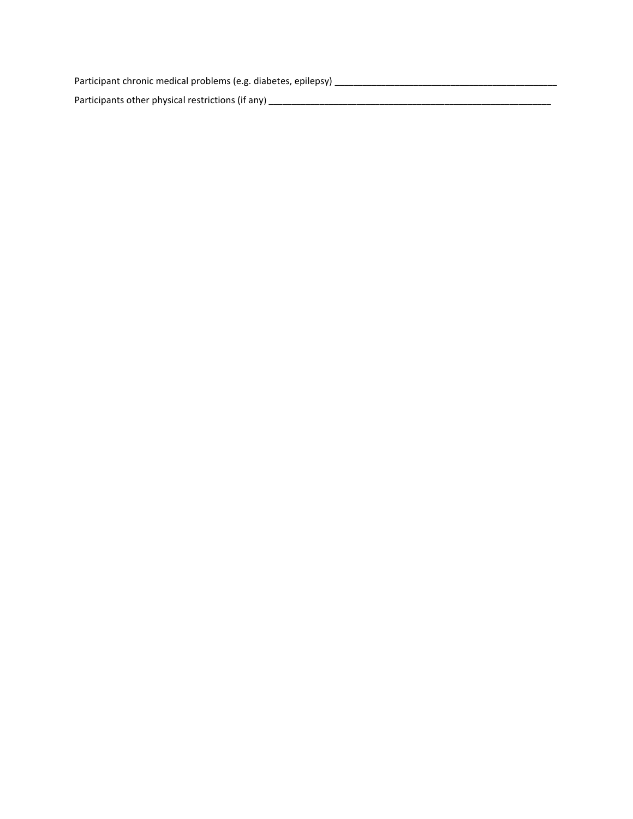Participant chronic medical problems (e.g. diabetes, epilepsy) \_\_\_\_\_\_\_\_\_\_\_\_\_\_\_\_\_\_\_\_\_\_\_\_\_\_\_\_\_\_\_\_\_\_\_\_\_\_\_\_\_\_\_\_\_\_\_\_ Participants other physical restrictions (if any) \_\_\_\_\_\_\_\_\_\_\_\_\_\_\_\_\_\_\_\_\_\_\_\_\_\_\_\_\_\_\_\_\_\_\_\_\_\_\_\_\_\_\_\_\_\_\_\_\_\_\_\_\_\_\_\_\_\_\_\_\_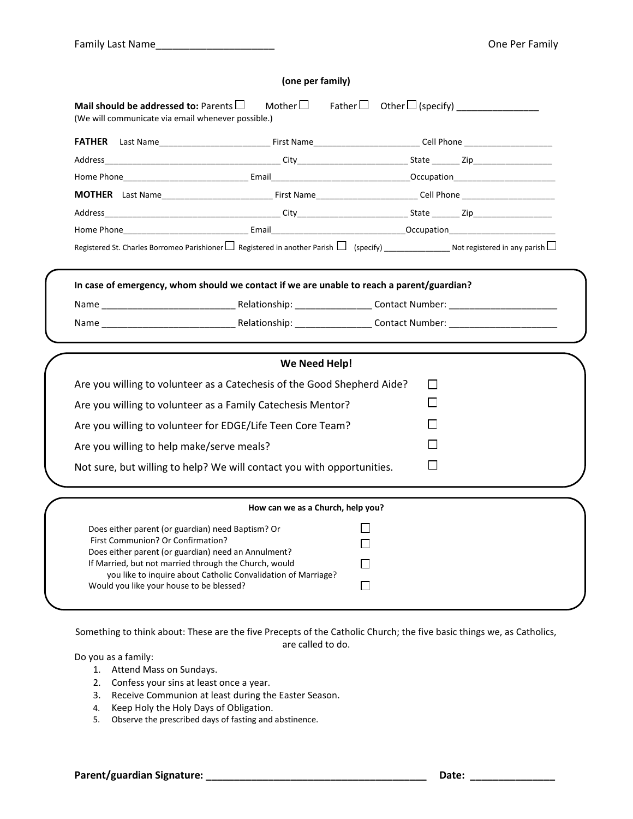|                                                                                                                                                                                                                                                    | (one per family)                                                                                                                     |              |  |
|----------------------------------------------------------------------------------------------------------------------------------------------------------------------------------------------------------------------------------------------------|--------------------------------------------------------------------------------------------------------------------------------------|--------------|--|
| Mail should be addressed to: Parents $\square$<br>(We will communicate via email whenever possible.)                                                                                                                                               |                                                                                                                                      |              |  |
|                                                                                                                                                                                                                                                    |                                                                                                                                      |              |  |
|                                                                                                                                                                                                                                                    |                                                                                                                                      |              |  |
|                                                                                                                                                                                                                                                    |                                                                                                                                      |              |  |
|                                                                                                                                                                                                                                                    |                                                                                                                                      |              |  |
|                                                                                                                                                                                                                                                    |                                                                                                                                      |              |  |
|                                                                                                                                                                                                                                                    |                                                                                                                                      |              |  |
|                                                                                                                                                                                                                                                    | Registered St. Charles Borromeo Parishioner $\Box$ Registered in another Parish $\Box$ (specify) Not registered in any parish $\Box$ |              |  |
|                                                                                                                                                                                                                                                    | In case of emergency, whom should we contact if we are unable to reach a parent/guardian?                                            |              |  |
|                                                                                                                                                                                                                                                    |                                                                                                                                      |              |  |
|                                                                                                                                                                                                                                                    |                                                                                                                                      |              |  |
|                                                                                                                                                                                                                                                    | We Need Help!                                                                                                                        |              |  |
|                                                                                                                                                                                                                                                    | Are you willing to volunteer as a Catechesis of the Good Shepherd Aide?                                                              | l l          |  |
|                                                                                                                                                                                                                                                    | Are you willing to volunteer as a Family Catechesis Mentor?                                                                          | $\mathsf{L}$ |  |
|                                                                                                                                                                                                                                                    | Are you willing to volunteer for EDGE/Life Teen Core Team?                                                                           |              |  |
|                                                                                                                                                                                                                                                    |                                                                                                                                      |              |  |
| Are you willing to help make/serve meals?                                                                                                                                                                                                          |                                                                                                                                      |              |  |
|                                                                                                                                                                                                                                                    | Not sure, but willing to help? We will contact you with opportunities.                                                               | $\mathsf{L}$ |  |
|                                                                                                                                                                                                                                                    | How can we as a Church, help you?                                                                                                    |              |  |
| Does either parent (or guardian) need Baptism? Or<br>First Communion? Or Confirmation?<br>Does either parent (or guardian) need an Annulment?<br>If Married, but not married through the Church, would<br>Would you like your house to be blessed? | you like to inquire about Catholic Convalidation of Marriage?                                                                        | l 1          |  |

Something to think about: These are the five Precepts of the Catholic Church; the five basic things we, as Catholics, are called to do.

Do you as a family:

- 1. Attend Mass on Sundays.
- 2. Confess your sins at least once a year.
- 3. Receive Communion at least during the Easter Season.
- 4. Keep Holy the Holy Days of Obligation.
- 5. Observe the prescribed days of fasting and abstinence.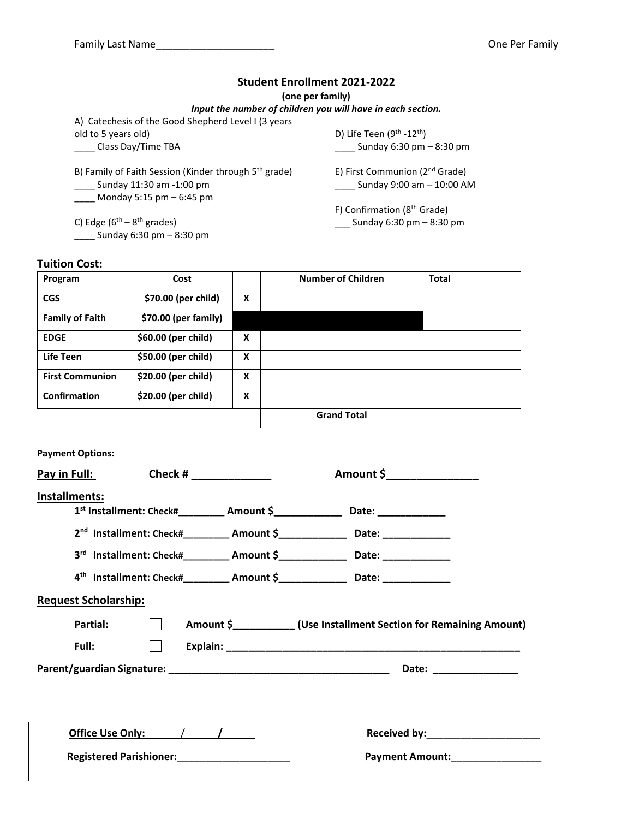### **Student Enrollment 2021-2022**

**(one per family)**

#### *Input the number of children you will have in each section.*

A) Catechesis of the Good Shepherd Level I (3 years old to 5 years old) \_\_\_\_ Class Day/Time TBA

B) Family of Faith Session (Kinder through 5<sup>th</sup> grade) \_\_\_\_ Sunday 11:30 am -1:00 pm \_\_\_\_ Monday 5:15 pm – 6:45 pm

C) Edge  $(6<sup>th</sup> - 8<sup>th</sup>$  grades) \_\_\_\_ Sunday 6:30 pm – 8:30 pm

D) Life Teen (9<sup>th</sup> -12<sup>th</sup>) \_\_\_\_ Sunday 6:30 pm – 8:30 pm E) First Communion (2<sup>nd</sup> Grade) \_\_\_\_ Sunday 9:00 am – 10:00 AM F) Confirmation (8th Grade)

\_\_\_ Sunday 6:30 pm – 8:30 pm

### **Tuition Cost:**

| Program                | Cost                 |   | <b>Number of Children</b> | <b>Total</b> |
|------------------------|----------------------|---|---------------------------|--------------|
| <b>CGS</b>             | \$70.00 (per child)  | X |                           |              |
| <b>Family of Faith</b> | \$70.00 (per family) |   |                           |              |
| <b>EDGE</b>            | \$60.00 (per child)  | X |                           |              |
| <b>Life Teen</b>       | \$50.00 (per child)  | X |                           |              |
| <b>First Communion</b> | \$20.00 (per child)  | X |                           |              |
| Confirmation           | \$20.00 (per child)  | X |                           |              |
|                        |                      |   | <b>Grand Total</b>        |              |

#### **Payment Options:**

| Pay in Full:                | Check # $\frac{1}{2}$ | Amount \$                                                                                                                                                                                                                                                                                                                                                          |
|-----------------------------|-----------------------|--------------------------------------------------------------------------------------------------------------------------------------------------------------------------------------------------------------------------------------------------------------------------------------------------------------------------------------------------------------------|
| Installments:               |                       | 1st Installment: Check#_________ Amount \$________________ Date: _______________<br>2 <sup>nd</sup> Installment: Check#__________ Amount \$_______________ Date: ______________<br>3rd Installment: Check#_________ Amount \$_______________ Date: ________________<br>4 <sup>th</sup> Installment: Check#__________ Amount \$________________ Date: _____________ |
| <b>Request Scholarship:</b> |                       |                                                                                                                                                                                                                                                                                                                                                                    |
| Partial:                    |                       | Amount \$ _____________ (Use Installment Section for Remaining Amount)                                                                                                                                                                                                                                                                                             |
| Full:                       |                       |                                                                                                                                                                                                                                                                                                                                                                    |
|                             |                       | Date: _________________                                                                                                                                                                                                                                                                                                                                            |
|                             |                       |                                                                                                                                                                                                                                                                                                                                                                    |
|                             |                       | Received by: ________________________                                                                                                                                                                                                                                                                                                                              |
|                             |                       | Payment Amount: National Payment Amount:                                                                                                                                                                                                                                                                                                                           |
|                             |                       |                                                                                                                                                                                                                                                                                                                                                                    |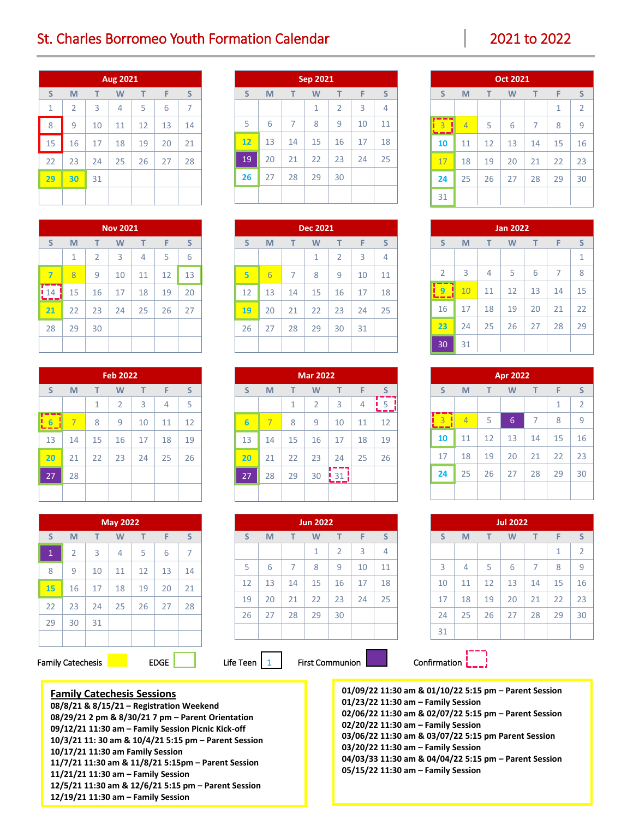# St. Charles Borromeo Youth Formation Calendar 2021 10 2022 2021 to 2022

| Aug 2021     |                |    |    |    |    |                |  |
|--------------|----------------|----|----|----|----|----------------|--|
| S            | M              | T  | W  | T  | F  | S              |  |
| $\mathbf{1}$ | $\overline{2}$ | 3  | 4  | 5  | 6  | $\overline{7}$ |  |
| 8            | 9              | 10 | 11 | 12 | 13 | 14             |  |
| 15           | 16             | 17 | 18 | 19 | 20 | 21             |  |
| 22           | 23             | 24 | 25 | 26 | 27 | 28             |  |
| 29           | 30             | 31 |    |    |    |                |  |
|              |                |    |    |    |    |                |  |

| <b>Nov 2021</b> |    |                |    |    |    |    |
|-----------------|----|----------------|----|----|----|----|
| S               | M  | T              | W  | т  | F  | S  |
|                 | 1  | $\overline{2}$ | 3  | 4  | 5  | 6  |
| 7               | 8  | 9              | 10 | 11 | 12 | 13 |
| 14              | 15 | 16             | 17 | 18 | 19 | 20 |
| 21              | 22 | 23             | 24 | 25 | 26 | 27 |
| 28              | 29 | 30             |    |    |    |    |
|                 |    |                |    |    |    |    |

| <b>Feb 2022</b>     |    |    |                |    |    |    |
|---------------------|----|----|----------------|----|----|----|
| S                   | M  | T  | W              | T  | F  | S  |
|                     |    | 1  | $\overline{2}$ | 3  | 4  | 5  |
| $6 \nightharpoonup$ | 7  | 8  | 9              | 10 | 11 | 12 |
| 13                  | 14 | 15 | 16             | 17 | 18 | 19 |
| 20                  | 21 | 22 | 23             | 24 | 25 | 26 |
| 27                  | 28 |    |                |    |    |    |
|                     |    |    |                |    |    |    |

| <b>May 2022</b> |                |    |    |    |    |    |  |
|-----------------|----------------|----|----|----|----|----|--|
| S               | M              | T  | W  | т  | F  | S  |  |
| $\mathbf{1}$    | $\overline{2}$ | 3  | 4  | 5  | 6  | 7  |  |
| 8               | 9              | 10 | 11 | 12 | 13 | 14 |  |
| 15              | 16             | 17 | 18 | 19 | 20 | 21 |  |
| 22              | 23             | 24 | 25 | 26 | 27 | 28 |  |
| 29              | 30             | 31 |    |    |    |    |  |
|                 |                |    |    |    |    |    |  |

**Family Catechesis Sessions**

**10/17/21 11:30 am Family Session**

**11/21/21 11:30 am – Family Session**

**12/19/21 11:30 am – Family Session**

**08/8/21 & 8/15/21 – Registration Weekend**

**08/29/21 2 pm & 8/30/21 7 pm – Parent Orientation 09/12/21 11:30 am – Family Session Picnic Kick-off 10/3/21 11: 30 am & 10/4/21 5:15 pm – Parent Session**

**11/7/21 11:30 am & 11/8/21 5:15pm – Parent Session**

**12/5/21 11:30 am & 12/6/21 5:15 pm – Parent Session**

### Family Catechesis **EXACTE:** EDGE Life Teen  $\boxed{1}$  First Communion **Confirmation**  $\boxed{1}$

| Confirmation |  |  |  |
|--------------|--|--|--|

**01/09/22 11:30 am & 01/10/22 5:15 pm – Parent Session 01/23/22 11:30 am – Family Session 02/06/22 11:30 am & 02/07/22 5:15 pm – Parent Session 02/20/22 11:30 am – Family Session 03/06/22 11:30 am & 03/07/22 5:15 pm Parent Session 03/20/22 11:30 am – Family Session 04/03/33 11:30 am & 04/04/22 5:15 pm – Parent Session 05/15/22 11:30 am – Family Session**

| Sep 2021                        |    |    |    |                |    |    |  |  |
|---------------------------------|----|----|----|----------------|----|----|--|--|
| S<br>S<br>F<br>M<br>T<br>т<br>W |    |    |    |                |    |    |  |  |
|                                 |    |    | 1  | $\overline{2}$ | 3  | 4  |  |  |
| 5                               | 6  | 7  | 8  | 9              | 10 | 11 |  |  |
| 12                              | 13 | 14 | 15 | 16             | 17 | 18 |  |  |
| 19                              | 20 | 21 | 22 | 23             | 24 | 25 |  |  |
| 26                              | 27 | 28 | 29 | 30             |    |    |  |  |
|                                 |    |    |    |                |    |    |  |  |

| <b>Dec 2021</b>             |    |    |    |                |                |    |  |  |
|-----------------------------|----|----|----|----------------|----------------|----|--|--|
| S<br>F<br>M<br>т<br>W<br>T. |    |    |    |                |                |    |  |  |
|                             |    |    | 1  | $\overline{2}$ | $\overline{3}$ | 4  |  |  |
| $5\overline{5}$             | 6  | 7  | 8  | 9              | 10             | 11 |  |  |
| 12                          | 13 | 14 | 15 | 16             | 17             | 18 |  |  |
| 19                          | 20 | 21 | 22 | 23             | 24             | 25 |  |  |
| 26                          | 27 | 28 | 29 | 30             | 31             |    |  |  |
|                             |    |    |    |                |                |    |  |  |

| <b>Mar 2022</b> |    |    |                |    |    |    |  |  |  |
|-----------------|----|----|----------------|----|----|----|--|--|--|
| S               | M  | т  | W              | т  | F  | S  |  |  |  |
|                 |    | 1  | $\overline{2}$ | 3  | 4  | 5  |  |  |  |
| $6\phantom{1}6$ | 7  | 8  | 9              | 10 | 11 | 12 |  |  |  |
| 13              | 14 | 15 | 16             | 17 | 18 | 19 |  |  |  |
| 20              | 21 | 22 | 23             | 24 | 25 | 26 |  |  |  |
| 27              | 28 | 29 | 30             |    |    |    |  |  |  |
|                 |    |    |                |    |    |    |  |  |  |

| <b>Jun 2022</b> |    |                |    |                |    |    |  |  |
|-----------------|----|----------------|----|----------------|----|----|--|--|
| S               | M  | т              | W  | T              | F  | S  |  |  |
|                 |    |                | 1  | $\overline{2}$ | 3  | 4  |  |  |
| 5               | 6  | $\overline{7}$ | 8  | 9              | 10 | 11 |  |  |
| 12              | 13 | 14             | 15 | 16             | 17 | 18 |  |  |
| 19              | 20 | 21             | 22 | 23             | 24 | 25 |  |  |
| 26              | 27 | 28             | 29 | 30             |    |    |  |  |
|                 |    |                |    |                |    |    |  |  |

| <b>Oct 2021</b> |                             |    |    |    |              |                |  |  |
|-----------------|-----------------------------|----|----|----|--------------|----------------|--|--|
| S               | S<br>F<br>M<br>T<br>W<br>T. |    |    |    |              |                |  |  |
|                 |                             |    |    |    | $\mathbf{1}$ | $\overline{2}$ |  |  |
| $\overline{3}$  | $\overline{4}$              | 5  | 6  | 7  | 8            | 9              |  |  |
| 10              | 11                          | 12 | 13 | 14 | 15           | 16             |  |  |
| 17              | 18                          | 19 | 20 | 21 | 22           | 23             |  |  |
| 24              | 25                          | 26 | 27 | 28 | 29           | 30             |  |  |
| 31              |                             |    |    |    |              |                |  |  |

| <b>Jan 2022</b> |                            |    |    |    |    |    |  |  |
|-----------------|----------------------------|----|----|----|----|----|--|--|
| S               | S<br>F<br>M<br>T<br>T<br>W |    |    |    |    |    |  |  |
|                 |                            |    |    |    |    | 1  |  |  |
| $\overline{2}$  | 3                          | 4  | 5  | 6  | 7  | 8  |  |  |
| 9               | 10                         | 11 | 12 | 13 | 14 | 15 |  |  |
| 16              | 17                         | 18 | 19 | 20 | 21 | 22 |  |  |
| 23              | 24                         | 25 | 26 | 27 | 28 | 29 |  |  |
| 30              | 31                         |    |    |    |    |    |  |  |

| <b>Apr 2022</b> |                       |    |    |                |    |                |  |  |  |
|-----------------|-----------------------|----|----|----------------|----|----------------|--|--|--|
| S               | T<br>F<br>т<br>W<br>M |    |    |                |    |                |  |  |  |
|                 |                       |    |    |                | 1  | $\overline{2}$ |  |  |  |
| $\overline{3}$  | $\overline{4}$        | 5  | 6  | $\overline{7}$ | 8  | 9              |  |  |  |
| 10              | 11                    | 12 | 13 | 14             | 15 | 16             |  |  |  |
| 17              | 18                    | 19 | 20 | 21             | 22 | 23             |  |  |  |
| 24              | 25                    | 26 | 27 | 28             | 29 | 30             |  |  |  |
|                 |                       |    |    |                |    |                |  |  |  |

| <b>Jul 2022</b> |    |    |    |    |    |                |  |  |  |
|-----------------|----|----|----|----|----|----------------|--|--|--|
| S               | M  | т  | W  | т  | F  | S              |  |  |  |
|                 |    |    |    |    | 1  | $\overline{2}$ |  |  |  |
| 3               | 4  | 5  | 6  | 7  | 8  | 9              |  |  |  |
| 10              | 11 | 12 | 13 | 14 | 15 | 16             |  |  |  |
| 17              | 18 | 19 | 20 | 21 | 22 | 23             |  |  |  |
| 24              | 25 | 26 | 27 | 28 | 29 | 30             |  |  |  |
| 31              |    |    |    |    |    |                |  |  |  |